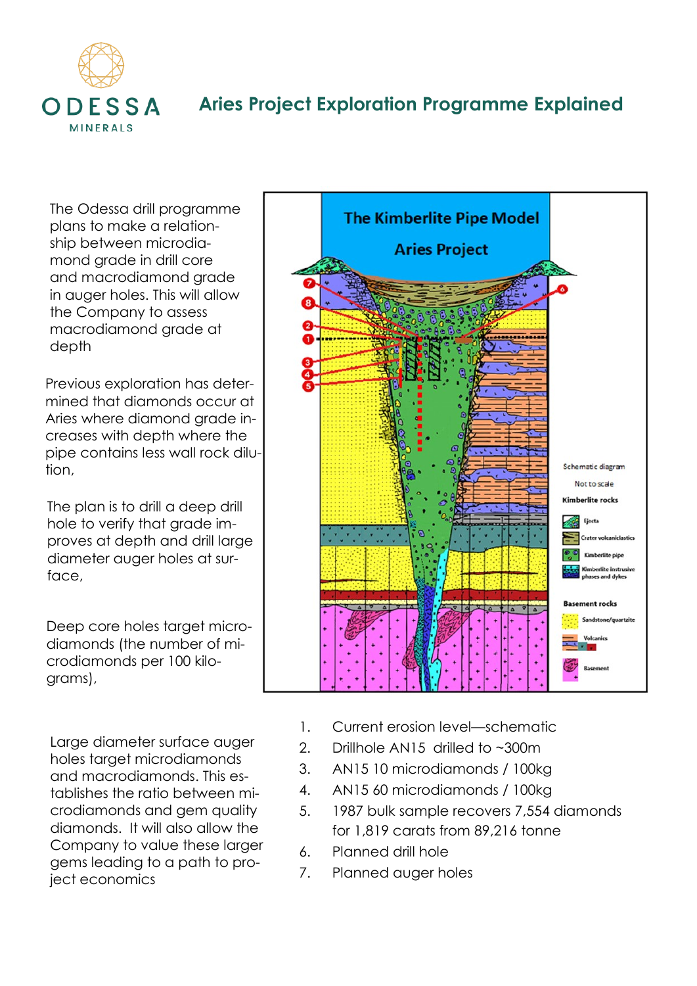

## **Aries Project Exploration Programme Explained**

The Odessa drill programme plans to make a relationship between microdiamond grade in drill core and macrodiamond grade in auger holes. This will allow the Company to assess macrodiamond grade at depth

Previous exploration has determined that diamonds occur at Aries where diamond grade increases with depth where the pipe contains less wall rock dilution,

The plan is to drill a deep drill hole to verify that grade improves at depth and drill large diameter auger holes at surface.

Deep core holes target microdiamonds (the number of microdiamonds per 100 kilograms),

Large diameter surface auger holes target microdiamonds and macrodiamonds. This establishes the ratio between microdiamonds and gem quality diamonds. It will also allow the Company to value these larger gems leading to a path to project economics



- 1. Current erosion level—schematic
- 2. Drillhole AN15 drilled to ~300m
- 3. AN15 10 microdiamonds / 100kg
- 4. AN15 60 microdiamonds / 100kg
- 5. 1987 bulk sample recovers 7,554 diamonds for 1,819 carats from 89,216 tonne
- 6. Planned drill hole
- 7. Planned auger holes